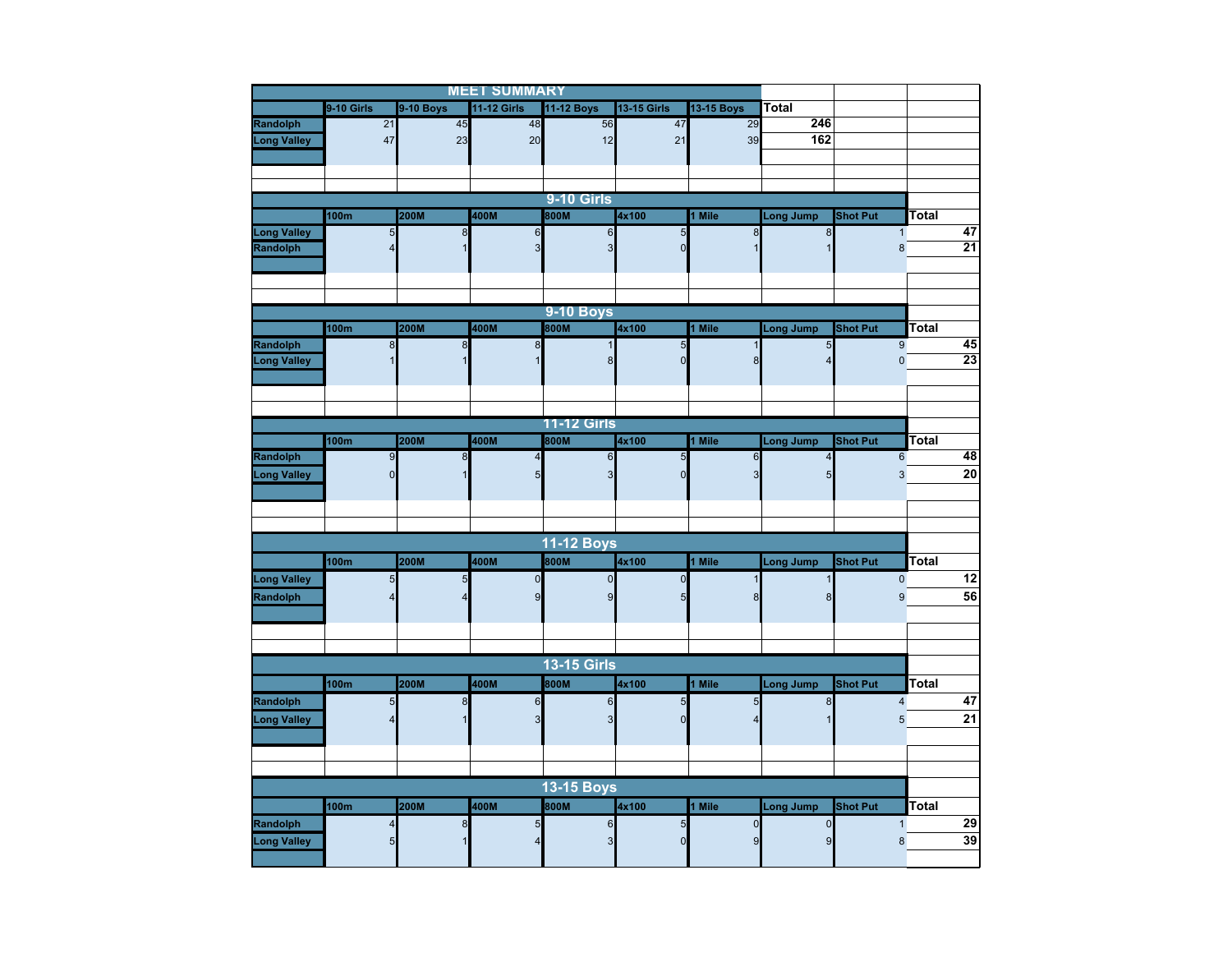|                    |                         |             | <b>MEET SUMMARY</b> |                    |                               |             |                                  |                         |                 |
|--------------------|-------------------------|-------------|---------------------|--------------------|-------------------------------|-------------|----------------------------------|-------------------------|-----------------|
|                    | 9-10 Girls              | 9-10 Boys   | <b>11-12 Girls</b>  | 11-12 Boys         | <b>13-15 Girls</b>            | 13-15 Boys  | <b>Total</b>                     |                         |                 |
| Randolph           | 21                      | 45          | 48                  | 56                 | 47                            | 29          | 246                              |                         |                 |
| <b>Long Valley</b> | 47                      | 23          | 20                  | 12                 | 21                            | 39          | 162                              |                         |                 |
|                    |                         |             |                     |                    |                               |             |                                  |                         |                 |
|                    |                         |             |                     |                    |                               |             |                                  |                         |                 |
|                    |                         |             |                     |                    |                               |             |                                  |                         |                 |
|                    |                         |             |                     | <b>9-10 Girls</b>  |                               |             |                                  |                         |                 |
|                    | 100m                    | 200M        | 400M                | 800M               | 4x100                         | 1 Mile      | <b>Long Jump</b>                 | <b>Shot Put</b>         | Total           |
| <b>Long Valley</b> | 5                       | 8           | 6                   | $6\phantom{1}$     | $\overline{5}$                | 8           | $\bf 8$                          | $\mathbf{1}$            | 47<br>21        |
| Randolph           | $\overline{\mathbf{A}}$ |             | 3                   | 3                  | $\mathbf 0$                   |             |                                  | 8                       |                 |
|                    |                         |             |                     |                    |                               |             |                                  |                         |                 |
|                    |                         |             |                     |                    |                               |             |                                  |                         |                 |
|                    |                         |             |                     | <b>9-10 Boys</b>   |                               |             |                                  |                         |                 |
|                    |                         | 200M        |                     |                    |                               |             |                                  |                         |                 |
|                    | 100m                    |             | 400M                | 800M               | 4x100                         | 1 Mile      | <b>Long Jump</b>                 | <b>Shot Put</b><br>9    | Total<br>45     |
| Randolph           | $\infty$                | 8           | $\bf8$              | $\mathsf{R}$       | $\overline{5}$<br>$\mathbf 0$ | 8           | $\overline{5}$<br>$\overline{4}$ | $\overline{0}$          | $\overline{23}$ |
| <b>Long Valley</b> |                         |             |                     |                    |                               |             |                                  |                         |                 |
|                    |                         |             |                     |                    |                               |             |                                  |                         |                 |
|                    |                         |             |                     |                    |                               |             |                                  |                         |                 |
|                    |                         |             |                     | <b>11-12 Girls</b> |                               |             |                                  |                         |                 |
|                    | 100m                    | <b>200M</b> | 400M                | 800M               | 4x100                         | 1 Mile      | Long Jump                        | <b>Shot Put</b>         | Total           |
| Randolph           | $\overline{9}$          | 8           | 4                   | $6\phantom{1}$     | 5                             | 6           | $\overline{\mathbf{4}}$          | $6\phantom{a}$          | 48              |
| <b>Long Valley</b> | $\overline{0}$          |             | 5                   | 3                  | $\mathbf 0$                   |             | $5\overline{5}$                  | 3                       | 20              |
|                    |                         |             |                     |                    |                               |             |                                  |                         |                 |
|                    |                         |             |                     |                    |                               |             |                                  |                         |                 |
|                    |                         |             |                     |                    |                               |             |                                  |                         |                 |
|                    |                         |             |                     |                    |                               |             |                                  |                         |                 |
|                    |                         |             |                     | <b>11-12 Boys</b>  |                               |             |                                  |                         |                 |
|                    | 100m                    | 200M        | 400M                | 800M               | 4x100                         | 1 Mile      | Long Jump                        | <b>Shot Put</b>         | Total           |
| <b>Long Valley</b> | 5                       | 5           | $\mathbf 0$         | $\mathbf 0$        | $\mathbf 0$                   |             | $\mathbf{1}$                     | $\pmb{0}$               | 12              |
| Randolph           |                         | 4           | 9                   | 9                  | 5                             | 8           | 8                                | 9                       | 56              |
|                    |                         |             |                     |                    |                               |             |                                  |                         |                 |
|                    |                         |             |                     |                    |                               |             |                                  |                         |                 |
|                    |                         |             |                     |                    |                               |             |                                  |                         |                 |
|                    |                         |             |                     | <b>13-15 Girls</b> |                               |             |                                  |                         |                 |
|                    | 100m                    | 200M        | 400M                | 800M               | 4x100                         | 1 Mile      | Long Jump                        | <b>Shot Put</b>         | <b>Total</b>    |
| Randolph           | 5                       | 8           | $\boldsymbol{6}$    | 6                  | $\overline{5}$                | 5           | $\bf{8}$                         | $\overline{\mathbf{4}}$ | 47              |
| <b>Long Valley</b> |                         |             | 3                   | 3                  | $\overline{0}$                |             |                                  | 5                       | 21              |
|                    |                         |             |                     |                    |                               |             |                                  |                         |                 |
|                    |                         |             |                     |                    |                               |             |                                  |                         |                 |
|                    |                         |             |                     |                    |                               |             |                                  |                         |                 |
|                    |                         |             |                     | <b>13-15 Boys</b>  |                               |             |                                  |                         |                 |
|                    | 100 <sub>m</sub>        | 200M        | 400M                | 800M               | 4x100                         | 1 Mile      | Long Jump                        | <b>Shot Put</b>         | Total           |
|                    |                         |             |                     |                    |                               |             |                                  |                         |                 |
| Randolph           | $\overline{\mathbf{4}}$ | 8           | 5                   | $6\phantom{1}$     | $\overline{5}$                | $\mathbf 0$ | $\mathbf 0$                      | $\mathbf{1}$            | 29              |
| <b>Long Valley</b> |                         |             |                     | 3                  | $\overline{0}$                |             | 9                                | 8                       | 39              |
|                    |                         |             |                     |                    |                               |             |                                  |                         |                 |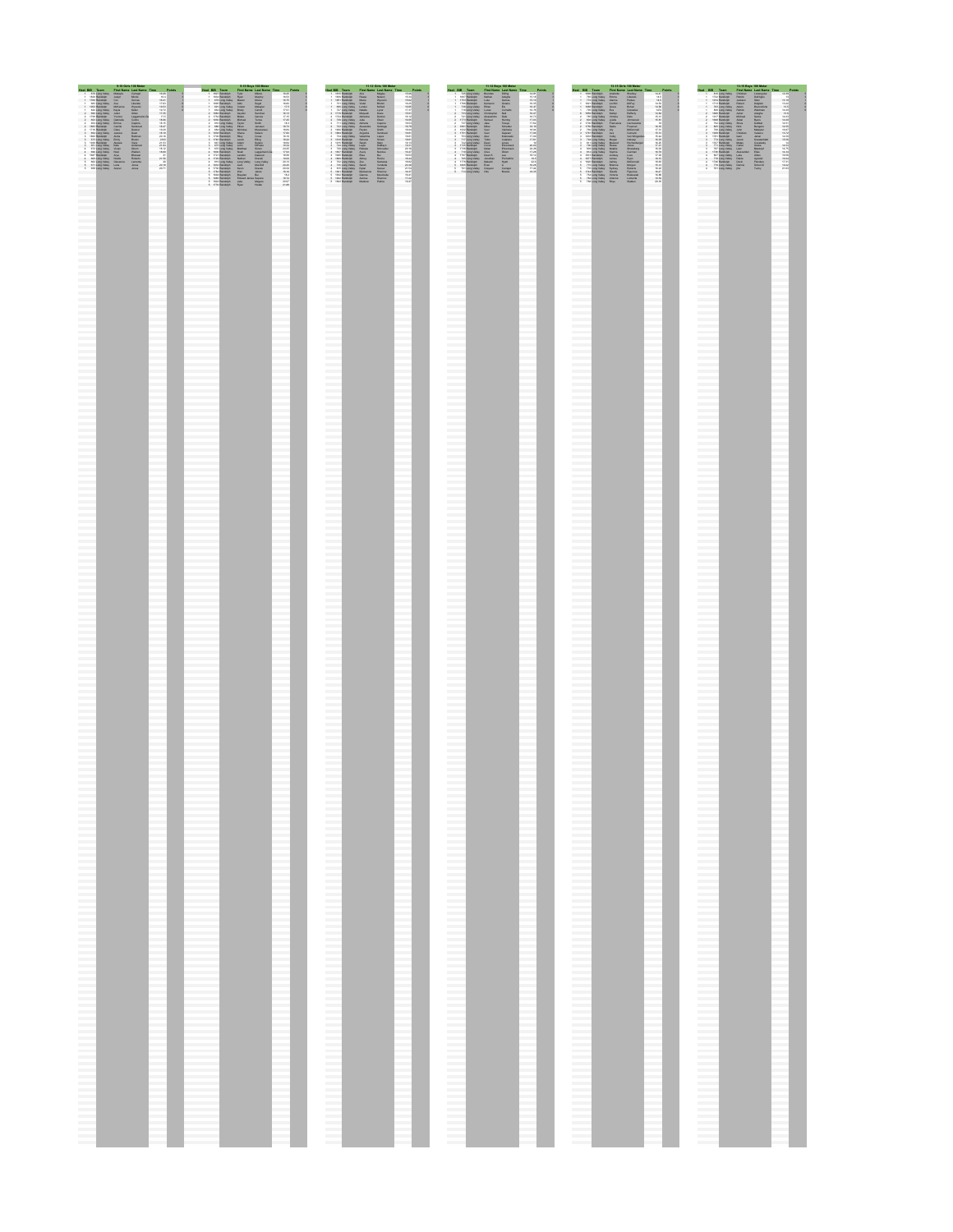|                            | 9-10 Girls 100 Motor<br>9-10 Boys 100 Meter       |                  |                                    | 11-12 Girls 100 Meter |               |                                                |                              |                                     | 11-12 Boys 100 Meter |                                               |                          |                               |                             | 13-15 Girls 100 Meter |                          |                                    |                               |                                  | 13-15 Boys 100 Motor |                       |                                             |                                          |                                    |  |                      |                          |                                   |                  |                                     |                |
|----------------------------|---------------------------------------------------|------------------|------------------------------------|-----------------------|---------------|------------------------------------------------|------------------------------|-------------------------------------|----------------------|-----------------------------------------------|--------------------------|-------------------------------|-----------------------------|-----------------------|--------------------------|------------------------------------|-------------------------------|----------------------------------|----------------------|-----------------------|---------------------------------------------|------------------------------------------|------------------------------------|--|----------------------|--------------------------|-----------------------------------|------------------|-------------------------------------|----------------|
| et 010 Team                |                                                   |                  | First Name Last Name Time          |                       | <b>Delate</b> | Heat BIG Team                                  |                              | <b>Circl Name: Last Name: Time:</b> | <b>Daleste</b>       | <b>Mant Bill</b> Taxes                        |                          | Elect Name, Last Name, Time,  | <b>Delate</b>               |                       |                          | Heat BIG Team                      |                               | First Name Last Name Time        |                      | <b>Delivie</b>        | <b>Mast 040 Taxes</b>                       |                                          | Eirst Name, Last Name, Time,       |  | <b>Cylints</b>       | HAM BID                  | Taxon                             |                  | <b>Circl Name: Last Name: Time:</b> | <b>Delate</b>  |
| <b>STY Long Valley</b>     |                                                   | <b>Mounta</b>    | <b>Caralat</b>                     | se on                 |               | <b>1 TATIT BOARDON</b>                         | Text                         | <b>Milano</b>                       | 14.25                | 1 1810 Rendshift                              | Ana                      | Magney                        | 15.06                       |                       |                          | 1 729 Long Valley                  | <b>Brandan</b>                | <b>Diling</b>                    |                      | 14.81                 | 1 1899 Randolph                             | Anahama                                  | Shadey                             |  | 14.47                |                          | <b>BY A T COAST STATE</b>         |                  | Lazanguiez                          | 12.39          |
| <b>THE THE SEASONTWICH</b> |                                                   |                  | <b>MAGNA</b>                       | 78.6                  |               | 1 1914 Mandaton                                | Point                        | <b>Marine</b>                       | 14.53                | 1 Yanna Mandonia,                             | <b>STAGES</b>            | Abdison                       | $n - 1$                     |                       |                          | <b>TANT BEAUTIFUL</b>              | <b>SARAA</b>                  | ASANA                            |                      | na na I               |                                             | 753 Long Valley - Sinnia                 | <b>Liberato</b>                    |  | 14.91                |                          | <b>TYTY BRANDER</b>               | <b>DOMESTIC</b>  | PATRICK.                            |                |
| <b>TRANSMIRE</b>           | <b>CON</b>                                        |                  |                                    | 14.41                 |               | 1 471 Long Valley                              |                              | <b>Milano</b>                       | 14.75                | 1 THE BRANDER                                 | <b>BRACIN</b>            | Women                         | 15.627                      |                       |                          | 1 TELEVISION                       | <b>Suka</b>                   | <b>FIRSTAN</b>                   |                      | 16.18                 | 772 Long Valley                             | <b>Atanna</b>                            | <b><i><u>Richard</u></i></b>       |  | 14.51                |                          | 1 THIS RESIDENCE                  |                  |                                     | 1118           |
| 682 Long Valley            |                                                   |                  | <b>PAGE</b>                        | or an                 |               | <b>TEST BRANDED</b>                            | <b>ALLA</b>                  | States                              | 14.91                |                                               | 721 Elino Valley Viced   | <b>British</b>                |                             |                       |                          | TTOM MANAGERS                      | <b>MARANA</b>                 |                                  |                      | 14.15                 | THE THE RESIDENCE.                          | <b>Locking</b>                           | <b>AANGAL</b>                      |  | 54.53                |                          |                                   | <b>BUNGET</b>    | <b>Public</b>                       |                |
| 1952 Randolph              |                                                   | <b>BRIDGER</b>   |                                    | <b>HEAT</b>           |               | 1 ANY EAST MARK                                |                              | <b>Material</b>                     | 175                  | 633 Line Valley                               |                          | <b>MAGAZ</b>                  | 14.95                       |                       |                          | THE ROOM MARINE                    | <b>STAY</b>                   |                                  |                      | 14.47                 | 1 TANK MANAGER                              | <b>COMA</b>                              |                                    |  | 14.56                |                          | 1 MAY Educational                 |                  | <b>Brandonica</b>                   |                |
| 820 Long Valley            | <b>MARIN</b>                                      |                  | <b>Value</b>                       | 16.72                 |               | <b>BAK Edga Valley</b>                         | <b>Brody</b>                 | <b>CASS</b>                         | 11.50                | TTT EASA MARA                                 | <b>Bistate</b>           |                               |                             |                       |                          | T'll Long Valley                   |                               | <b>Forest</b>                    |                      | 14.74                 | THE EQUATIONAL                              |                                          | favorate                           |  |                      |                          | and Edgar Valley                  | <b>Russia</b>    | <b>MAANHAL</b>                      |                |
|                            | 630 Long Valley 3-846                             |                  | <b>COMPANY</b>                     | or as                 |               | 1 YEST BRANDING                                | Zayber                       | Statement                           | 38.33                | 2 1719 Randolph                               | Milveill                 | Pouce                         | 15.91                       |                       |                          | 2 733 Long Valley                  | Children                      |                                  |                      | <b>NEWS</b>           | 4 1859 Randolph                             | Kather                                   | <b>Sharkovi</b>                    |  | 14.84                |                          | THE RANGE                         | Asher.           | <b>Affaire</b>                      | 73.6           |
| 1739 Randolph              |                                                   | <b>Municipal</b> |                                    | $\cdots$              |               | 1 1744 Blackson                                | <b>MAN</b>                   | OWNER                               | 12.15                | 2 1724 Randolph                               | Antanca                  | PAULO                         | 56.55                       |                       |                          | <b>TK1 Eding Valley</b>            |                               |                                  |                      | 14.71                 | 7.83 Ednis Valley                           | Victoria                                 |                                    |  | 16.9                 |                          | <b>TATY BRANDONE</b>              |                  |                                     |                |
| 632 Long Valley            |                                                   | <b>Gabrieta</b>  | money                              | 18.06                 |               | 2 1930 Randolph                                | Mohae                        | <b><i><u>Norman</u></i></b>         | 77.95                | 2 722 Links Valley Julia                      |                          | <b>CELAN</b>                  | 38.35                       |                       |                          | 2 1772 Randolph                    | <b>Stational</b>              | Hertop                           |                      | 17.03                 | 2 823 Long Valley                           | <b>Junter</b>                            | <b>Joneston</b>                    |  | 15.97                |                          | 2 THIR RANGULE                    | Airlan           | <b>Busin</b>                        | 14.08          |
|                            | 634 Long Valley - Sinnia                          |                  | <b>Parcel</b>                      | u u                   |               | 816 Edna Valley                                | <b>Yank</b>                  | <b>Support</b>                      |                      |                                               | Aziasa                   | Panner                        | 18.51                       |                       |                          | 727 Eding Valley                   |                               | <b>Support</b>                   |                      | 17.41                 | <b>TEM MANAGER</b>                          | EXMINISTR                                | Pandarama                          |  |                      |                          |                                   |                  | <b>Kimaan</b>                       |                |
| THEY MANAGED.              |                                                   | <b>CANAL</b>     | <b>SALEME</b>                      | 18.47                 |               | 1 AM EAST MAN                                  | <b>EMAN</b>                  | <b>Sandak</b>                       | 18.73                | 2 723 Elino Valley                            | Ateriorista              | Samuel                        | 18.78                       |                       |                          | T. THEY MANAGED                    | <b>STAGE</b>                  | Schedule                         |                      | 18.19                 | T. THE MANAGER                              | <b>SARA</b>                              | Ernstein                           |  | 16.16                |                          | sco Long Valley                   |                  | <b>Bencase</b>                      | 14.55          |
| 1716 Rendolph              | <b>Class</b>                                      |                  | <b>Program</b>                     | 16.75                 |               | 2 6th Line Valley Notherlan                    |                              | <b>Machines</b>                     | 18.84                | T. TANK MANAGER                               | Peyton                   | South.                        | to sal                      |                       |                          | 1102 Randolph                      | <b>Mag</b>                    | <b>Changes</b>                   |                      | <b>SERA</b>           | <b>797 Long Valley</b>                      |                                          | Milbonnett                         |  | 57.57                |                          | 799 Ednis Valley                  |                  | <b>MARINE</b>                       | 14.97          |
| EDI Long Valley            | Jessica                                           |                  | Platti                             | 18.19                 |               | 3 1838 Randolph                                | Share                        | <b>Malbour</b>                      | 17.93                | 3 1884 Randolph                               | Angelica                 | Sandava                       | 38.87                       |                       |                          | 3 TTS1 Plandoton                   |                               | <b>Changes</b>                   |                      | <b>SY ALL</b>         | 3 1757 Rendolph Ave.                        |                                          | <b>Charles Co.</b>                 |  | 15.31                |                          | <b>TOTAL STANDARDS</b>            |                  | <b>Andrews</b>                      | 13.72          |
| test Rendolph              |                                                   |                  | <b>Bratistical</b>                 | <b>MA TAB</b>         |               | 1 FROM MALASON                                 | Pilley                       | <b>COM</b>                          |                      | T24 Links Valley                              | Valentina                |                               | 14.9                        |                       |                          | 733 Eding Valley                   |                               | Withhamster                      |                      |                       | 1933 Rendolph                               | Colley                                   | <b>TON Wingers</b>                 |  | 15.44                |                          | <b>TEST MANAGER</b>               |                  |                                     |                |
|                            | 672 Long Valley Smith                             |                  | <b>BANK</b>                        | 2103                  |               | 1 FAIR BRANDING                                | <b>Jacob</b>                 | Ellino                              | 18.99                | T. TANK BEAMARING                             | <b>Sahana</b>            | SHOW                          | 18.87                       |                       |                          | 3 T17 Long Valley                  | <b>Yother</b>                 | <b>CARRIOL</b>                   |                      | <b>STAY</b>           | 3 794 Edmontony Medal                       |                                          | <b>Entrance</b>                    |  | sa.es                |                          | The Edge States                   | <b>Banch</b>     | <b>Montgomery</b>                   |                |
| <b>TATH BRANDER</b>        |                                                   |                  | <b>Main</b><br>Antarcon            | 11.51                 |               | 3 007 Long Valley                              | Atası                        | System                              | 14.94<br>19.34       | 1 TATA MARGARET                               | <b>SALAS</b>             |                               |                             |                       |                          | 722 Eding Valley                   | Peach<br>Posts                | <b>Bullet</b><br><b>ENGINEER</b> |                      |                       |                                             | 811 Long Valley Messent                  | <b>MATASTAN</b>                    |  | 14.19<br><b>STOP</b> |                          | <b>ANNA</b><br><b>CONTROL</b>     | <b>MARINE</b>    | <b>CONSUMI</b><br><b>CEMA</b>       | 14.53          |
|                            | 637 Long Valley, Kalk                             |                  |                                    | 21.84                 |               | 3 473 Long Valley Allie.                       |                              | <b>DiPaulu</b>                      |                      | 3 744 Long Valley Layla                       |                          | <b>DeMayo</b>                 | 19.21                       |                       |                          | 3 T73 Randolph                     |                               |                                  |                      | 20.09                 |                                             | TIC Long Valley Roose                    | <b>Junes</b>                       |  |                      |                          | 3 771 Long Valley                 | Caber            |                                     |                |
|                            | 672 Long Valley Vivian                            |                  |                                    | 18.19                 |               | 3 472 Link Valley Midling                      |                              |                                     | 34.35                | 729 Line Valley                               |                          | SIMULATION                    | to sell                     |                       |                          | TTM MANAGER                        | <b>Bodie</b>                  | <b>ENGINEERS</b>                 |                      | 34.38                 | arm Edgar Valley                            | <b>Bandalus</b>                          | Strausban                          |  | 14.0                 |                          | THE T. B CARD STATIONAL           |                  | <b>BENNING</b>                      | 14.79          |
|                            | 696 Long Valley North<br><b>And</b>               |                  | Window<br><b>Shaward</b>           | 18.69                 |               | 4 TAYS MALASSA<br>4 FFIS MALASSA               | <b>Non</b><br><b>Landise</b> | Philadelphia                        | 12.53<br>18.58       | <b>A TEST BANDARY</b><br>4 TANK MANAGER       | August 1<br><b>STAA</b>  | <b>MATES</b>                  | 14.41<br>14.51              |                       |                          | 4 THE EAST MARKET<br>TTST MANAGERS | <b>Class</b><br><b>Page 9</b> | 144                              |                      | or op                 |                                             | 812 Long Valley Souths<br><b>COMPANY</b> | <b>Charles Art</b><br><b>Louis</b> |  | 16.78<br>12.03       |                          | A TTH MANAGER                     |                  |                                     |                |
| <b>TERT Randolph</b>       |                                                   |                  |                                    |                       |               |                                                |                              |                                     |                      |                                               |                          |                               |                             |                       |                          |                                    |                               |                                  |                      |                       | 1813 Rendolph                               |                                          |                                    |  |                      |                          | <b>BOT Edge Valley</b>            |                  |                                     |                |
|                            | 651 Long Valley North<br>652 Long Valley Clavance |                  | <b>Brazil</b><br><b>E ASSAULTS</b> | 71.56                 |               | 4 TPH ENGINE<br>4 819 Eling Valley Long Valley | <b>Martins</b>               | Personal<br>Long Valley             | 18.09<br>55.55       | <b>A THIS BANDAR</b><br>722 Links Valley Zion |                          | <b>Statute</b><br>Sanaha      | 18.44<br>18.97              |                       |                          | 4 723 Long Valley<br>TTTP MANAGERS | <b>BAGNIN</b>                 | Podebio                          |                      | 19.9<br>77.6          | 4 1877 Randous<br>4 1820 Randoun            | <b>The State</b><br>Action               | <b>MATSHAM</b>                     |  | na na l<br>18.61     |                          | 4 778 Edma Valley<br>1716 Randoun | Phone<br>Plastic | Agnost<br>Electare                  | 14.94<br>12.93 |
|                            |                                                   |                  |                                    |                       |               |                                                | <b>Final</b>                 |                                     |                      |                                               |                          |                               |                             |                       |                          |                                    |                               |                                  |                      | no me                 |                                             |                                          |                                    |  |                      |                          |                                   |                  | <b>Statute III</b>                  |                |
|                            | 671 Long Valley Lena                              |                  | 20044                              | 20.18                 |               | 4 1833 Randolph                                |                              | Mutultid                            | 23.25                | 4 723 Long Valley Statist                     |                          | <b><i><u>STANDARD</u></i></b> | 20.38                       |                       |                          | 3 1823 Randolph                    | Even                          |                                  |                      |                       | 5 773 Long Valley Brianna                   |                                          | <b>Motors</b>                      |  |                      |                          | 4 779 Edmo Valley Dennis          |                  |                                     | 19.22          |
|                            | 638 Long Valley Arangt                            |                  | <b>State</b>                       | 55.95                 |               | 4 TPM MALASH<br>5 YEST ROLLAND                 | March                        | Patenese<br><b>Sahan</b>            | 55.50<br>18.18       | 4 BTS ESSA Malley<br><b>A TATT BEAUTIFUL</b>  | <b>BRACKWATER</b>        | <b>Wildfield</b><br>Sherry    | <b>TT SA</b><br><b>NEW!</b> |                       |                          | 721 Edito Valley                   |                               | Carpus<br><b>Brocks</b>          |                      | 17.44<br><b>DE MA</b> | The Long Valley                             | <b>Sudney</b><br><b>COANTAGE</b>         | <b>BELEVILLE</b><br>Eleventon      |  | 14.77<br>14.47       |                          | 4 761 Long Valley 100             |                  | <b>Tuchy</b>                        | 7141           |
|                            |                                                   |                  |                                    |                       |               | 5 Yang Mandoon                                 | <b>STAR</b>                  |                                     |                      |                                               |                          | <b>MACHARA</b>                | 14.41                       |                       |                          | 3 T13 Econo Valley Citiz           |                               |                                  |                      |                       | 3 1744 Randolph                             |                                          |                                    |  | 14.99                |                          |                                   |                  |                                     |                |
|                            |                                                   |                  |                                    |                       |               | 3 1883 Randoon                                 | Edward James Sapone          |                                     | 18.72                | 5 1932 Randolph<br>5 TRIZ Randolph            | Chinana<br><b>Autome</b> | <b>Sheridan</b>               | 17.22                       |                       | <b>Contract Contract</b> |                                    |                               |                                  | ___                  |                       | TH Long Valley<br>a TKI Long Valley Arianna | Victoria                                 | <b>Withholson</b><br>Lanenta       |  | 19.54                |                          |                                   |                  |                                     |                |
|                            |                                                   |                  |                                    |                       |               | <b>A TATH MALASSA</b>                          |                              |                                     | \$1.97               | a year Mandone.                               | <b>BRANKON</b>           | <b>Branchise</b>              | 10.47                       |                       |                          |                                    |                               |                                  |                      |                       |                                             |                                          | <b>Vintenan</b>                    |  |                      |                          |                                   |                  |                                     |                |
|                            |                                                   |                  |                                    | ___                   |               |                                                |                              | Megano                              |                      |                                               |                          |                               |                             |                       |                          |                                    |                               |                                  | ----                 |                       |                                             | 758 Long Valley Plays                    |                                    |  | 20.16                | <b>Contract Contract</b> |                                   |                  |                                     |                |
|                            |                                                   |                  |                                    |                       |               | 5 1771 Randolph                                | <b>Shown</b>                 | <b>Hutak</b>                        | 71.98                |                                               |                          |                               |                             |                       |                          |                                    |                               |                                  |                      |                       |                                             |                                          |                                    |  |                      |                          |                                   |                  |                                     |                |
|                            |                                                   |                  |                                    |                       |               |                                                |                              |                                     |                      |                                               |                          |                               |                             |                       |                          |                                    |                               |                                  |                      |                       |                                             |                                          |                                    |  |                      |                          |                                   |                  |                                     |                |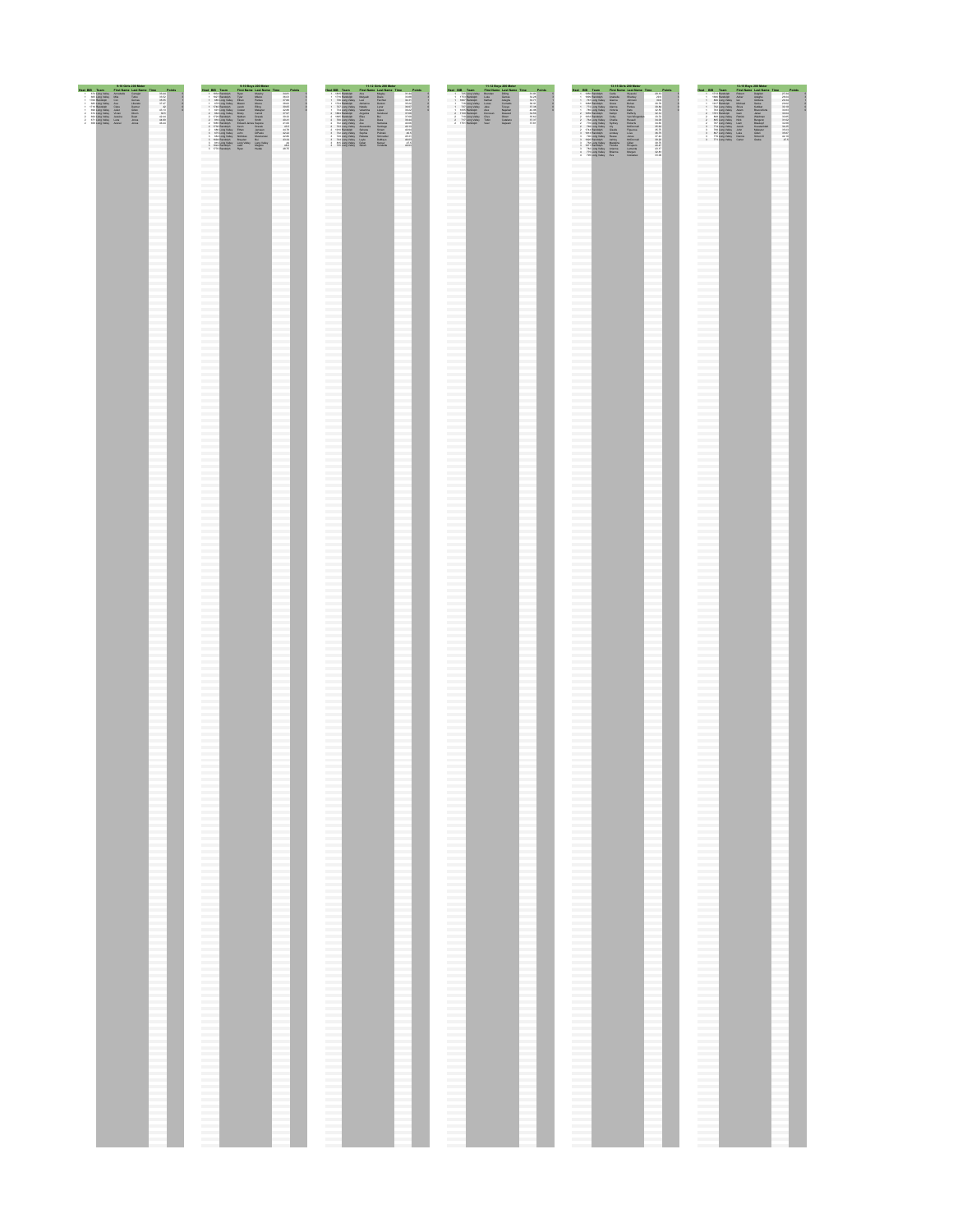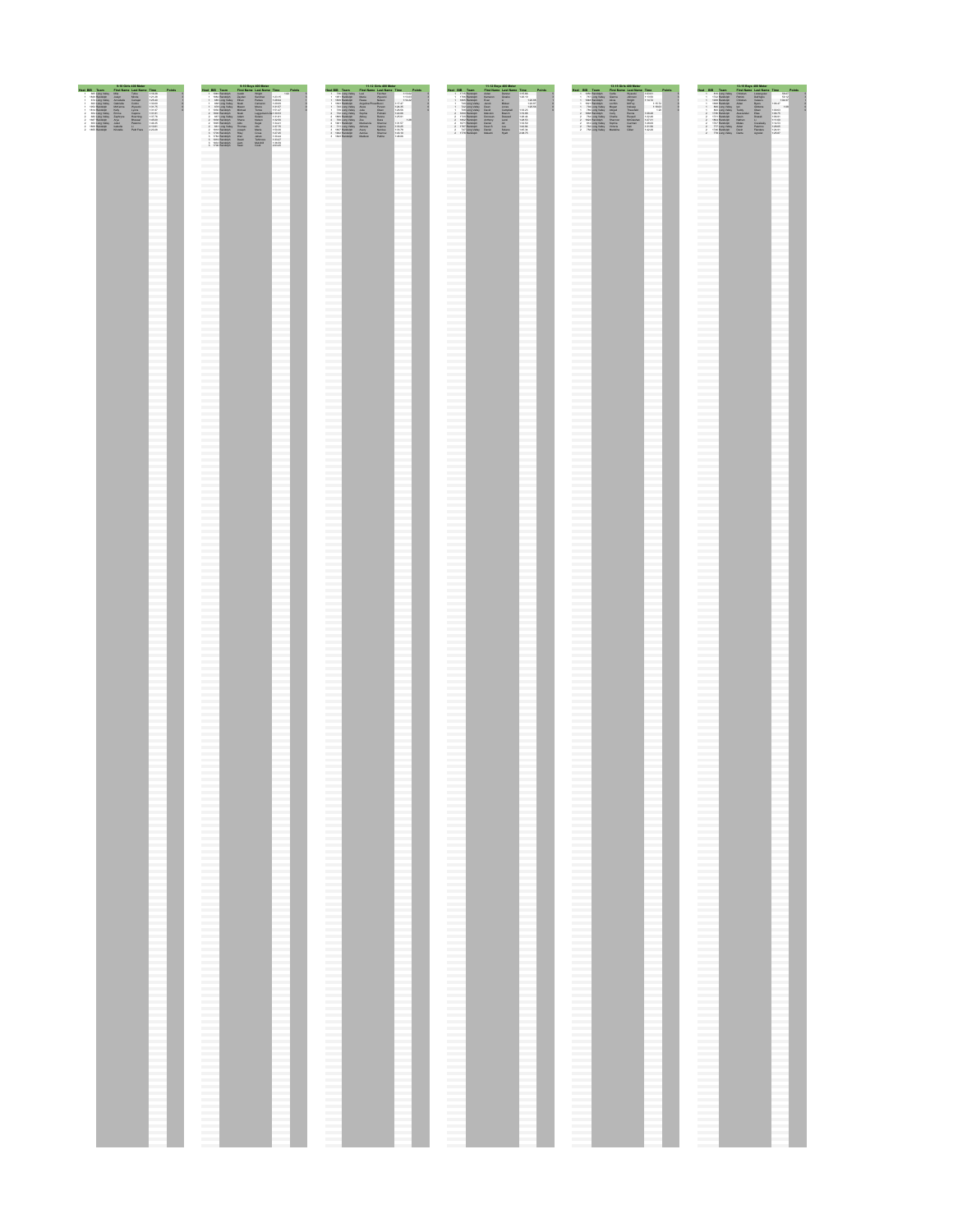









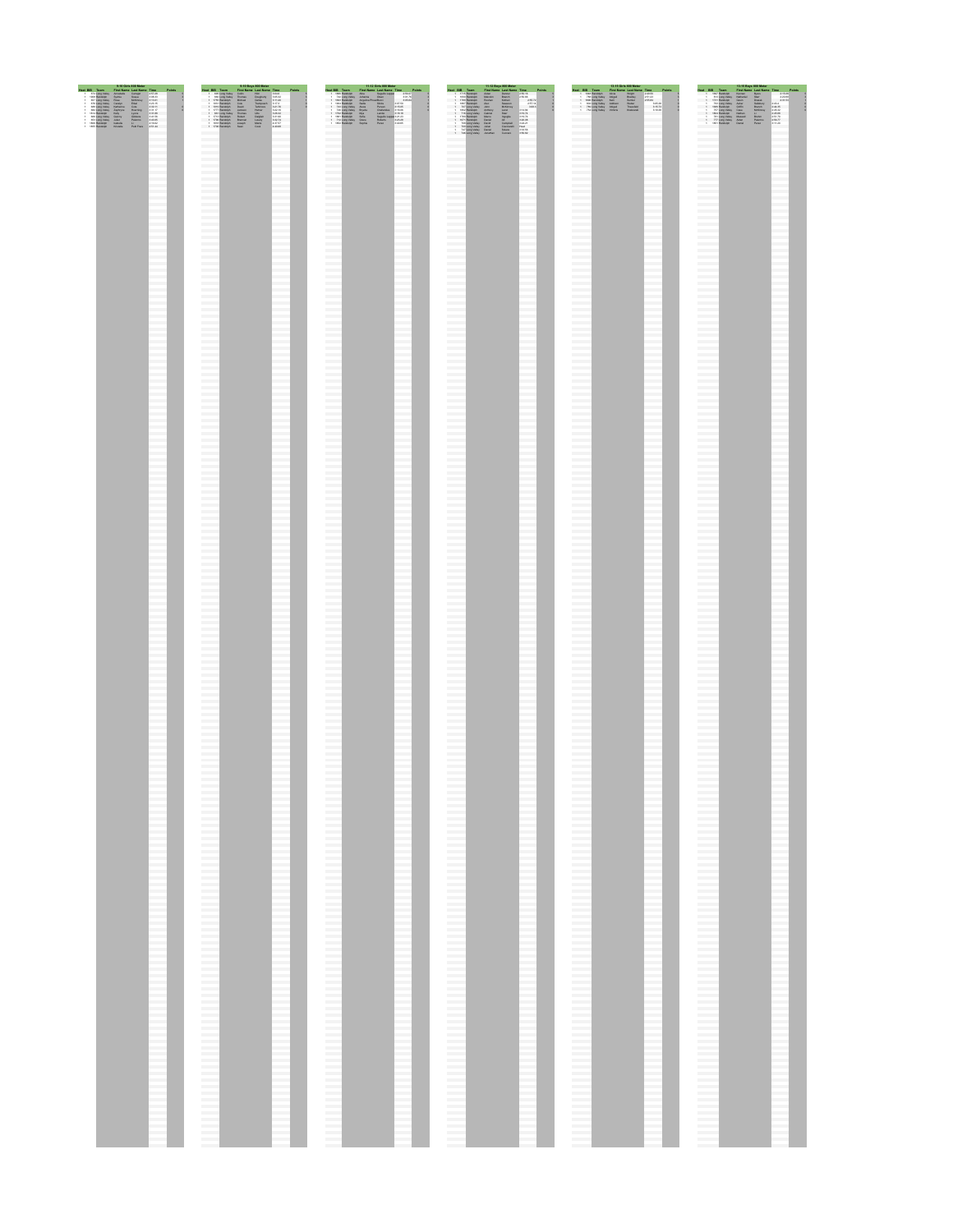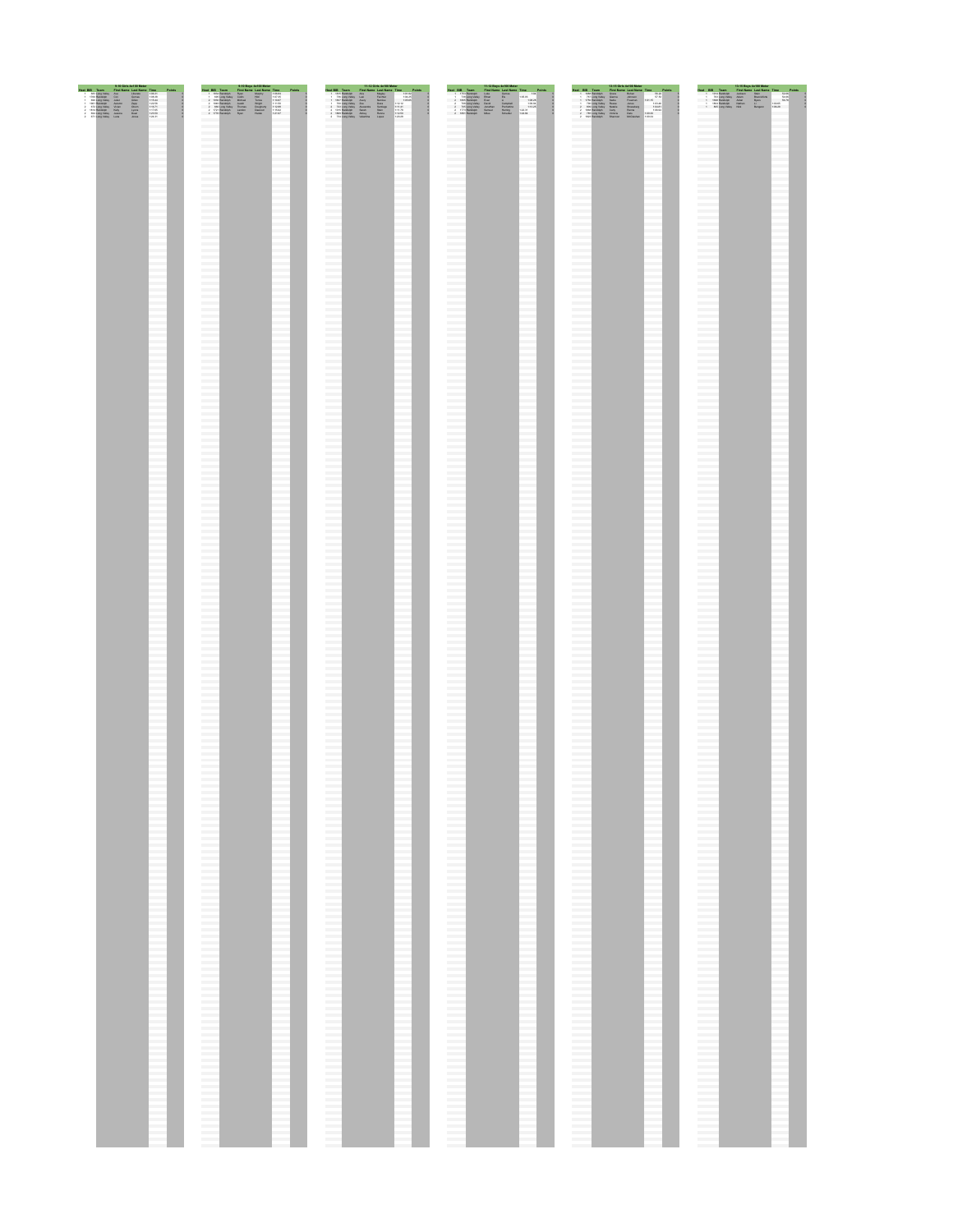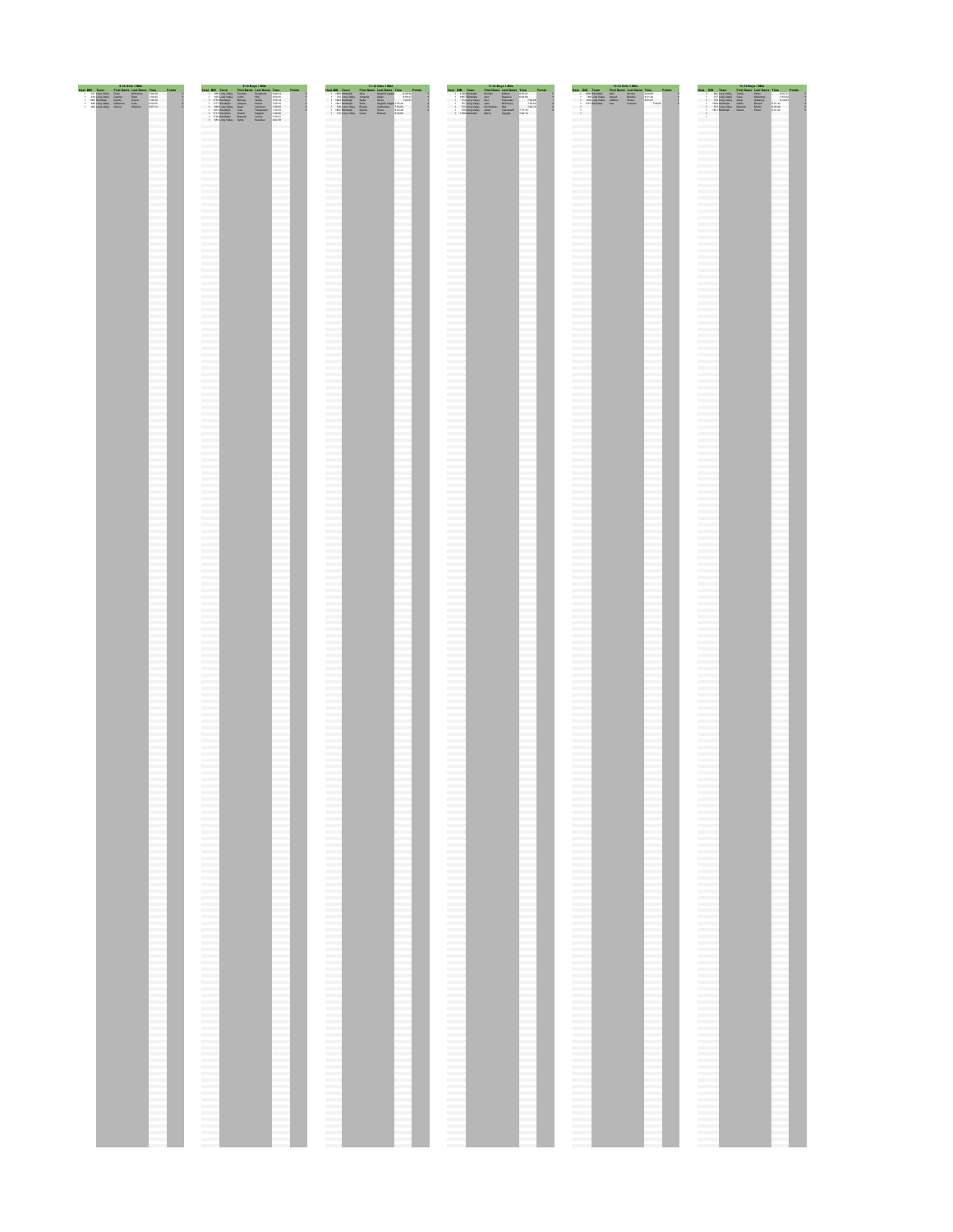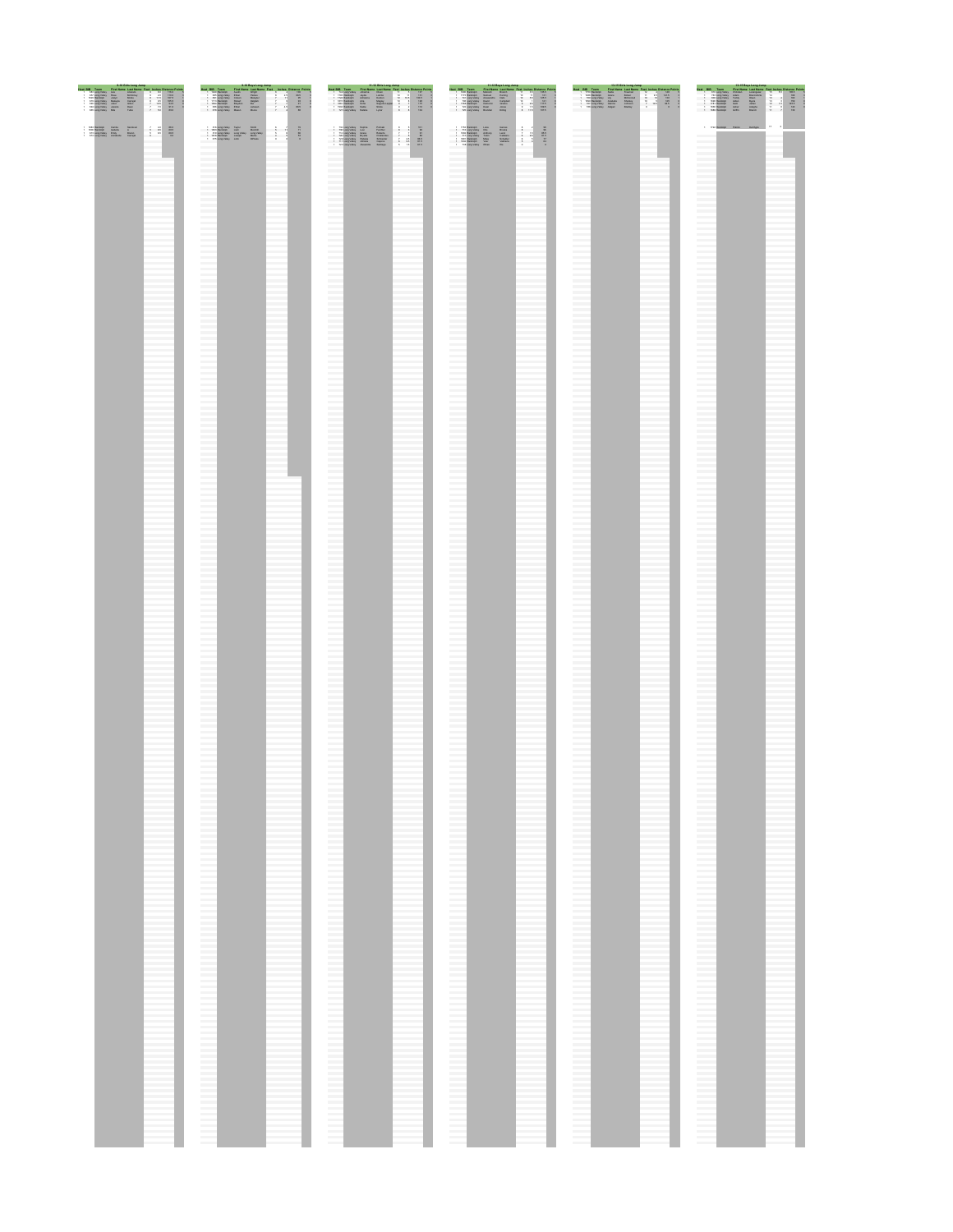| 9-10 Girls Long Jump                                                                                                           | 9-10 Boys Long Jump                                             | 11-12 Girls Long Jump                                                                                                              | 11-12 Boys Long Jump                                                                                                                                                                                  | 13-15 Girls Long Jump                                                                                                           | 13-15 Boys Long Jump                                                                                                                         |
|--------------------------------------------------------------------------------------------------------------------------------|-----------------------------------------------------------------|------------------------------------------------------------------------------------------------------------------------------------|-------------------------------------------------------------------------------------------------------------------------------------------------------------------------------------------------------|---------------------------------------------------------------------------------------------------------------------------------|----------------------------------------------------------------------------------------------------------------------------------------------|
| Feet Inches Distance Point<br><b>Seat Nissan 1 and No</b>                                                                      | Last Name Feet Inches Distance Points                           | <b>Heat BIR Team</b><br>Cine Nama Last Nama Cast, Inches Pietance Dolor                                                            | East Inches Distance Driv<br><b>Mast OID</b><br><b>NAT MAINA</b>                                                                                                                                      | Heat Still Town-<br>Circ Name, Last Name, Cost, Inches Distance Doints                                                          | Last Name, East Inches Distance Doles                                                                                                        |
| <b>THEO</b><br>$1 - 10$<br>2.0 1100<br>8 114 107.8<br>1.1 101.0<br>10.5 94.5<br>910<br>7.4 11<br><b>Tube</b><br>$7 - 95 - 890$ | <b>SMC</b><br>18.0<br>$\sim$<br>88.0<br>4.5 11<br><b>Manuel</b> | 137<br>121<br>133.5<br>55 B<br>128<br>110<br><b>Tendin Law</b><br>110<br><b>STAR</b><br>Lyner<br><b>Notation</b><br>727 Lang Valey | 125.5<br><b>Loan Many</b><br>58<br><b>TER</b><br>125.5<br>5.5<br><b>SIZA</b><br>109.9<br>a na serah<br>720 Edina Valley                                                                               | 148<br>141.8<br><b>Seat 1</b><br><b>Plant</b><br>as I<br><b>SAFANO</b><br>130<br><b>Stati</b><br>96.5<br>30.8<br><b>Bradley</b> | 185.5<br>1998<br>145.5<br>140<br>Administ<br><b>Taxable</b><br><b>Culture</b><br><b>COMPA</b><br>1933 Handoun                                |
| $-$ 110 $-$<br>4.01<br><b>A1 685</b><br><b>Sustaina</b><br>4.1 46.5<br>50                                                      | MARG<br><b>Time</b><br><b>TOTAL</b><br><b>Contractor</b>        | 221<br><b>Pulmas</b><br><b>Festival</b><br><b>Bulletin</b><br>85.5<br>81.5<br>Casone<br><b>BB</b><br>61.5<br><b>Tarritori</b>      | <b>BALL</b><br><b>TTL Equation</b><br>85.5<br>81.0<br><b>Tube Fac</b><br><b><i><u>GANANT</u></i></b><br><b>FRAME</b><br>728 Editor Violence<br><b>Contract Contract Contract</b><br><b>Contractor</b> | <b>Contract Contract</b><br><b>Contractor</b><br><b>Contractor</b><br>___<br><b>Contractor</b><br><b>Contractor</b>             | 172 Renaise Palos, Driftylle<br><b>Contract Contract</b><br><b>Contract Contract</b><br><b>Contract Contract</b><br><b>Contract Contract</b> |